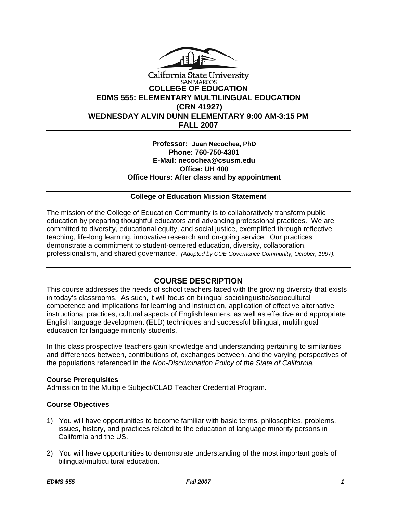

# California State University **SAN MARCOS COLLEGE OF EDUCATION EDMS 555: ELEMENTARY MULTILINGUAL EDUCATION (CRN 41927) WEDNESDAY ALVIN DUNN ELEMENTARY 9:00 AM-3:15 PM FALL 2007**

### **Professor: Juan Necochea, PhD Phone: 760-750-4301 E-Mail: necochea@csusm.edu Office: UH 400 Office Hours: After class and by appointment**

# **College of Education Mission Statement**

The mission of the College of Education Community is to collaboratively transform public education by preparing thoughtful educators and advancing professional practices. We are committed to diversity, educational equity, and social justice, exemplified through reflective teaching, life-long learning, innovative research and on-going service. Our practices demonstrate a commitment to student-centered education, diversity, collaboration, professionalism, and shared governance. *(Adopted by COE Governance Community, October, 1997).* 

# **COURSE DESCRIPTION**

This course addresses the needs of school teachers faced with the growing diversity that exists in today's classrooms. As such, it will focus on bilingual sociolinguistic/sociocultural competence and implications for learning and instruction, application of effective alternative instructional practices, cultural aspects of English learners, as well as effective and appropriate English language development (ELD) techniques and successful bilingual, multilingual education for language minority students.

In this class prospective teachers gain knowledge and understanding pertaining to similarities and differences between, contributions of, exchanges between, and the varying perspectives of the populations referenced in the *Non-Discrimination Policy of the State of California.*

# **Course Prerequisites**

Admission to the Multiple Subject/CLAD Teacher Credential Program.

# **Course Objectives**

- 1) You will have opportunities to become familiar with basic terms, philosophies, problems, issues, history, and practices related to the education of language minority persons in California and the US.
- 2) You will have opportunities to demonstrate understanding of the most important goals of bilingual/multicultural education.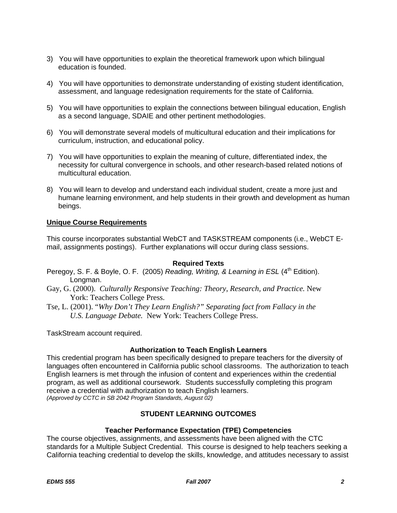- 3) You will have opportunities to explain the theoretical framework upon which bilingual education is founded.
- 4) You will have opportunities to demonstrate understanding of existing student identification, assessment, and language redesignation requirements for the state of California.
- 5) You will have opportunities to explain the connections between bilingual education, English as a second language, SDAIE and other pertinent methodologies.
- 6) You will demonstrate several models of multicultural education and their implications for curriculum, instruction, and educational policy.
- 7) You will have opportunities to explain the meaning of culture, differentiated index, the necessity for cultural convergence in schools, and other research-based related notions of multicultural education.
- 8) You will learn to develop and understand each individual student, create a more just and humane learning environment, and help students in their growth and development as human beings.

# **Unique Course Requirements**

This course incorporates substantial WebCT and TASKSTREAM components (i.e., WebCT Email, assignments postings). Further explanations will occur during class sessions.

### **Required Texts**

- Peregoy, S. F. & Boyle, O. F. (2005) *Reading, Writing, & Learning in ESL* (4<sup>th</sup> Edition). Longman.
- Gay, G. (2000). *Culturally Responsive Teaching: Theory, Research, and Practice.* New York: Teachers College Press.
- Tse, L. (2001). "*Why Don't They Learn English?" Separating fact from Fallacy in the U.S. Language Debate.* New York: Teachers College Press.

TaskStream account required.

# **Authorization to Teach English Learners**

This credential program has been specifically designed to prepare teachers for the diversity of languages often encountered in California public school classrooms. The authorization to teach English learners is met through the infusion of content and experiences within the credential program, as well as additional coursework. Students successfully completing this program receive a credential with authorization to teach English learners. *(Approved by CCTC in SB 2042 Program Standards, August 02)*

# **STUDENT LEARNING OUTCOMES**

# **Teacher Performance Expectation (TPE) Competencies**

The course objectives, assignments, and assessments have been aligned with the CTC standards for a Multiple Subject Credential. This course is designed to help teachers seeking a California teaching credential to develop the skills, knowledge, and attitudes necessary to assist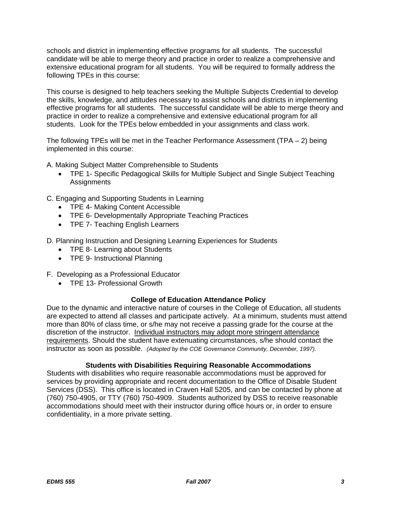schools and district in implementing effective programs for all students. The successful candidate will be able to merge theory and practice in order to realize a comprehensive and extensive educational program for all students. You will be required to formally address the following TPEs in this course:

This course is designed to help teachers seeking the Multiple Subjects Credential to develop the skills, knowledge, and attitudes necessary to assist schools and districts in implementing effective programs for all students. The successful candidate will be able to merge theory and practice in order to realize a comprehensive and extensive educational program for all students. Look for the TPEs below embedded in your assignments and class work.

The following TPEs will be met in the Teacher Performance Assessment  $(TPA - 2)$  being implemented in this course:

- A. Making Subject Matter Comprehensible to Students
	- TPE 1- Specific Pedagogical Skills for Multiple Subject and Single Subject Teaching **Assignments**
- C. Engaging and Supporting Students in Learning
	- TPE 4- Making Content Accessible
	- TPE 6- Developmentally Appropriate Teaching Practices
	- TPE 7- Teaching English Learners

D. Planning Instruction and Designing Learning Experiences for Students

- TPE 8- Learning about Students
- TPE 9- Instructional Planning
- F. Developing as a Professional Educator
	- TPE 13- Professional Growth

### **College of Education Attendance Policy**

Due to the dynamic and interactive nature of courses in the College of Education, all students are expected to attend all classes and participate actively. At a minimum, students must attend more than 80% of class time, or s/he may not receive a passing grade for the course at the discretion of the instructor. Individual instructors may adopt more stringent attendance requirements. Should the student have extenuating circumstances, s/he should contact the instructor as soon as possible. *(Adopted by the COE Governance Community, December, 1997).*

### **Students with Disabilities Requiring Reasonable Accommodations**

Students with disabilities who require reasonable accommodations must be approved for services by providing appropriate and recent documentation to the Office of Disable Student Services (DSS). This office is located in Craven Hall 5205, and can be contacted by phone at (760) 750-4905, or TTY (760) 750-4909. Students authorized by DSS to receive reasonable accommodations should meet with their instructor during office hours or, in order to ensure confidentiality, in a more private setting.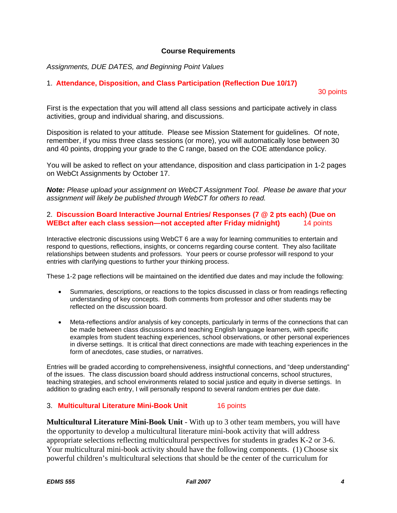### **Course Requirements**

*Assignments, DUE DATES, and Beginning Point Values* 

### 1. **Attendance, Disposition, and Class Participation (Reflection Due 10/17)**

30 points

First is the expectation that you will attend all class sessions and participate actively in class activities, group and individual sharing, and discussions.

Disposition is related to your attitude. Please see Mission Statement for guidelines. Of note, remember, if you miss three class sessions (or more), you will automatically lose between 30 and 40 points, dropping your grade to the C range, based on the COE attendance policy.

You will be asked to reflect on your attendance, disposition and class participation in 1-2 pages on WebCt Assignments by October 17.

*Note: Please upload your assignment on WebCT Assignment Tool. Please be aware that your assignment will likely be published through WebCT for others to read.* 

### 2. **Discussion Board Interactive Journal Entries/ Responses (7 @ 2 pts each) (Due on WEBct after each class session—not accepted after Friday midnight)** 14 points

Interactive electronic discussions using WebCT 6 are a way for learning communities to entertain and respond to questions, reflections, insights, or concerns regarding course content. They also facilitate relationships between students and professors. Your peers or course professor will respond to your entries with clarifying questions to further your thinking process.

These 1-2 page reflections will be maintained on the identified due dates and may include the following:

- Summaries, descriptions, or reactions to the topics discussed in class or from readings reflecting understanding of key concepts. Both comments from professor and other students may be reflected on the discussion board.
- Meta-reflections and/or analysis of key concepts, particularly in terms of the connections that can be made between class discussions and teaching English language learners, with specific examples from student teaching experiences, school observations, or other personal experiences in diverse settings. It is critical that direct connections are made with teaching experiences in the form of anecdotes, case studies, or narratives.

Entries will be graded according to comprehensiveness, insightful connections, and "deep understanding" of the issues. The class discussion board should address instructional concerns, school structures, teaching strategies, and school environments related to social justice and equity in diverse settings. In addition to grading each entry, I will personally respond to several random entries per due date.

### 3. **Multicultural Literature Mini-Book Unit**16 points

**Multicultural Literature Mini-Book Unit** - With up to 3 other team members, you will have the opportunity to develop a multicultural literature mini-book activity that will address appropriate selections reflecting multicultural perspectives for students in grades K-2 or 3-6. Your multicultural mini-book activity should have the following components. (1) Choose six powerful children's multicultural selections that should be the center of the curriculum for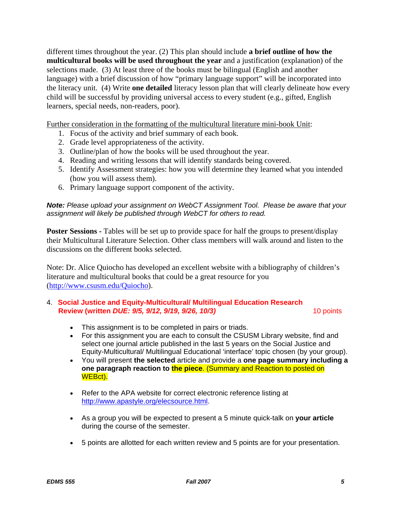different times throughout the year. (2) This plan should include **a brief outline of how the multicultural books will be used throughout the year** and a justification (explanation) of the selections made. (3) At least three of the books must be bilingual (English and another language) with a brief discussion of how "primary language support" will be incorporated into the literacy unit. (4) Write **one detailed** literacy lesson plan that will clearly delineate how every child will be successful by providing universal access to every student (e.g., gifted, English learners, special needs, non-readers, poor).

Further consideration in the formatting of the multicultural literature mini-book Unit:

- 1. Focus of the activity and brief summary of each book.
- 2. Grade level appropriateness of the activity.
- 3. Outline/plan of how the books will be used throughout the year.
- 4. Reading and writing lessons that will identify standards being covered.
- 5. Identify Assessment strategies: how you will determine they learned what you intended (how you will assess them).
- 6. Primary language support component of the activity.

# *Note: Please upload your assignment on WebCT Assignment Tool. Please be aware that your assignment will likely be published through WebCT for others to read.*

**Poster Sessions -** Tables will be set up to provide space for half the groups to present/display their Multicultural Literature Selection. Other class members will walk around and listen to the discussions on the different books selected.

Note: Dr. Alice Quiocho has developed an excellent website with a bibliography of children's literature and multicultural books that could be a great resource for you (http://www.csusm.edu/Quiocho).

# 4. **Social Justice and Equity-Multicultural/ Multilingual Education Research Review (written** *DUE: 9/5, 9/12, 9/19, 9/26, 10/3)*10 points

- This assignment is to be completed in pairs or triads.
- For this assignment you are each to consult the CSUSM Library website, find and select one journal article published in the last 5 years on the Social Justice and Equity-Multicultural/ Multilingual Educational 'interface' topic chosen (by your group).
- You will present **the selected** article and provide a **one page summary including a one paragraph reaction to the piece**. (Summary and Reaction to posted on WEBct).
- Refer to the APA website for correct electronic reference listing at http://www.apastyle.org/elecsource.html.
- As a group you will be expected to present a 5 minute quick-talk on **your article** during the course of the semester.
- 5 points are allotted for each written review and 5 points are for your presentation.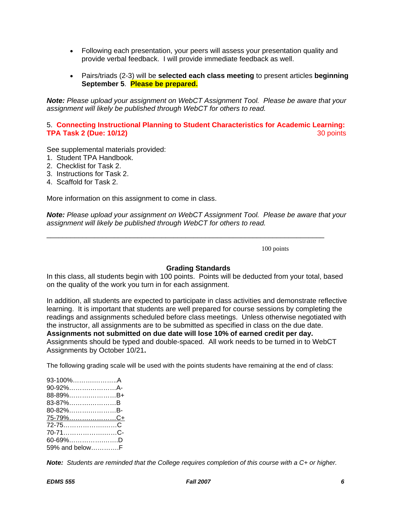- Following each presentation, your peers will assess your presentation quality and provide verbal feedback. I will provide immediate feedback as well.
- Pairs/triads (2-3) will be **selected each class meeting** to present articles **beginning September 5**. **Please be prepared.**

*Note: Please upload your assignment on WebCT Assignment Tool. Please be aware that your assignment will likely be published through WebCT for others to read.* 

# 5. **Connecting Instructional Planning to Student Characteristics for Academic Learning: TPA Task 2 (Due: 10/12)** 30 points

See supplemental materials provided:

- 1. Student TPA Handbook.
- 2. Checklist for Task 2.
- 3. Instructions for Task 2.
- 4. Scaffold for Task 2.

More information on this assignment to come in class.

*Note: Please upload your assignment on WebCT Assignment Tool. Please be aware that your assignment will likely be published through WebCT for others to read.* 

\_\_\_\_\_\_\_\_\_\_\_\_\_\_\_\_\_\_\_\_\_\_\_\_\_\_\_\_\_\_\_\_\_\_\_\_\_\_\_\_\_\_\_\_\_\_\_\_\_\_\_\_\_\_\_\_\_\_\_\_\_\_\_\_\_\_\_\_\_\_

100 points

### **Grading Standards**

In this class, all students begin with 100 points. Points will be deducted from your total, based on the quality of the work you turn in for each assignment.

In addition, all students are expected to participate in class activities and demonstrate reflective learning. It is important that students are well prepared for course sessions by completing the readings and assignments scheduled before class meetings. Unless otherwise negotiated with the instructor, all assignments are to be submitted as specified in class on the due date. **Assignments not submitted on due date will lose 10% of earned credit per day.** Assignments should be typed and double-spaced. All work needs to be turned in to WebCT Assignments by October 10/21**.**

The following grading scale will be used with the points students have remaining at the end of class:

| 93-100%A        |  |
|-----------------|--|
| 90-92%A-        |  |
| 88-89%B+        |  |
| 83-87%B         |  |
| 80-82%B-        |  |
| <u>75-79%C+</u> |  |
| 72-75C          |  |
|                 |  |
| 60-69%D         |  |
| 59% and belowF  |  |

*Note: Students are reminded that the College requires completion of this course with a C+ or higher.*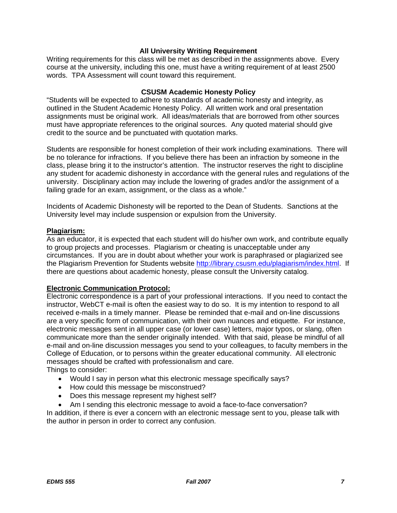### **All University Writing Requirement**

Writing requirements for this class will be met as described in the assignments above. Every course at the university, including this one, must have a writing requirement of at least 2500 words. TPA Assessment will count toward this requirement.

### **CSUSM Academic Honesty Policy**

"Students will be expected to adhere to standards of academic honesty and integrity, as outlined in the Student Academic Honesty Policy. All written work and oral presentation assignments must be original work. All ideas/materials that are borrowed from other sources must have appropriate references to the original sources. Any quoted material should give credit to the source and be punctuated with quotation marks.

Students are responsible for honest completion of their work including examinations. There will be no tolerance for infractions. If you believe there has been an infraction by someone in the class, please bring it to the instructor's attention. The instructor reserves the right to discipline any student for academic dishonesty in accordance with the general rules and regulations of the university. Disciplinary action may include the lowering of grades and/or the assignment of a failing grade for an exam, assignment, or the class as a whole."

Incidents of Academic Dishonesty will be reported to the Dean of Students. Sanctions at the University level may include suspension or expulsion from the University.

### **Plagiarism:**

As an educator, it is expected that each student will do his/her own work, and contribute equally to group projects and processes. Plagiarism or cheating is unacceptable under any circumstances. If you are in doubt about whether your work is paraphrased or plagiarized see the Plagiarism Prevention for Students website http://library.csusm.edu/plagiarism/index.html. If there are questions about academic honesty, please consult the University catalog.

# **Electronic Communication Protocol:**

Electronic correspondence is a part of your professional interactions. If you need to contact the instructor, WebCT e-mail is often the easiest way to do so. It is my intention to respond to all received e-mails in a timely manner. Please be reminded that e-mail and on-line discussions are a very specific form of communication, with their own nuances and etiquette. For instance, electronic messages sent in all upper case (or lower case) letters, major typos, or slang, often communicate more than the sender originally intended. With that said, please be mindful of all e-mail and on-line discussion messages you send to your colleagues, to faculty members in the College of Education, or to persons within the greater educational community. All electronic messages should be crafted with professionalism and care. Things to consider:

- Would I say in person what this electronic message specifically says?
- How could this message be misconstrued?
- Does this message represent my highest self?
- Am I sending this electronic message to avoid a face-to-face conversation?

In addition, if there is ever a concern with an electronic message sent to you, please talk with the author in person in order to correct any confusion.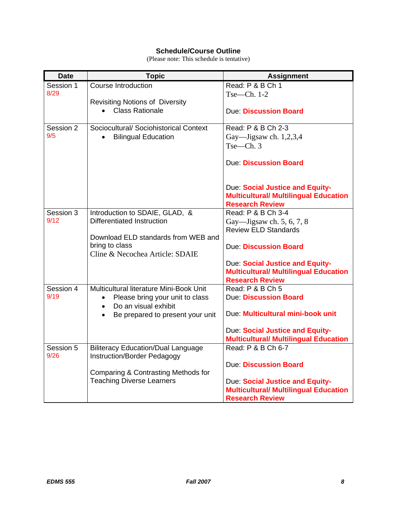# **Schedule/Course Outline**

(Please note: This schedule is tentative)

| <b>Date</b>       | <b>Topic</b>                                                             | <b>Assignment</b>                                                                                         |
|-------------------|--------------------------------------------------------------------------|-----------------------------------------------------------------------------------------------------------|
| Session 1         | <b>Course Introduction</b>                                               | Read: P & B Ch 1                                                                                          |
| 8/29              |                                                                          | $Tse—Ch. 1-2$                                                                                             |
|                   | <b>Revisiting Notions of Diversity</b><br><b>Class Rationale</b>         |                                                                                                           |
|                   |                                                                          | <b>Due: Discussion Board</b>                                                                              |
| Session 2         | Sociocultural/ Sociohistorical Context                                   | Read: P & B Ch 2-3                                                                                        |
| 9/5               | <b>Bilingual Education</b>                                               | Gay—Jigsaw ch. $1,2,3,4$                                                                                  |
|                   |                                                                          | Tse—Ch.3                                                                                                  |
|                   |                                                                          | <b>Due: Discussion Board</b>                                                                              |
|                   |                                                                          | Due: Social Justice and Equity-<br><b>Multicultural/ Multilingual Education</b><br><b>Research Review</b> |
| Session 3         | Introduction to SDAIE, GLAD, &                                           | Read: P & B Ch 3-4                                                                                        |
| 9/12              | <b>Differentiated Instruction</b>                                        | Gay—Jigsaw ch. 5, 6, 7, 8                                                                                 |
|                   | Download ELD standards from WEB and                                      | <b>Review ELD Standards</b>                                                                               |
|                   | bring to class                                                           | <b>Due: Discussion Board</b>                                                                              |
|                   | Cline & Necochea Article: SDAIE                                          |                                                                                                           |
|                   |                                                                          | Due: Social Justice and Equity-                                                                           |
|                   |                                                                          | <b>Multicultural/ Multilingual Education</b><br><b>Research Review</b>                                    |
| Session 4         | Multicultural literature Mini-Book Unit                                  | Read: P & B Ch 5                                                                                          |
| 9/19              | Please bring your unit to class<br>$\bullet$                             | Due: Discussion Board                                                                                     |
|                   | Do an visual exhibit<br>$\bullet$                                        |                                                                                                           |
|                   | Be prepared to present your unit                                         | Due: Multicultural mini-book unit                                                                         |
|                   |                                                                          | Due: Social Justice and Equity-                                                                           |
|                   |                                                                          | <b>Multicultural/ Multilingual Education</b>                                                              |
| Session 5<br>9/26 | <b>Biliteracy Education/Dual Language</b><br>Instruction/Border Pedagogy | Read: P & B Ch 6-7                                                                                        |
|                   |                                                                          | <b>Due: Discussion Board</b>                                                                              |
|                   | Comparing & Contrasting Methods for                                      |                                                                                                           |
|                   | <b>Teaching Diverse Learners</b>                                         | Due: Social Justice and Equity-<br><b>Multicultural/ Multilingual Education</b>                           |
|                   |                                                                          | <b>Research Review</b>                                                                                    |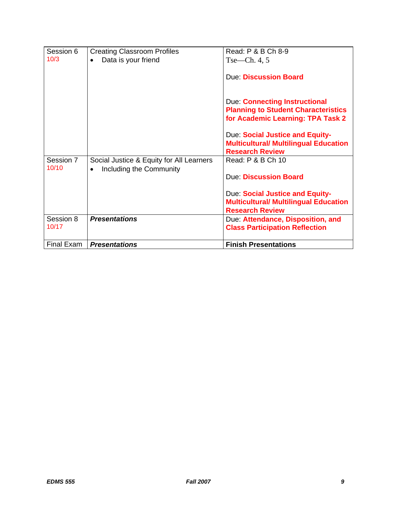| Session 6          | <b>Creating Classroom Profiles</b>                                               | Read: P & B Ch 8-9                                                                                               |
|--------------------|----------------------------------------------------------------------------------|------------------------------------------------------------------------------------------------------------------|
| 10/3               | Data is your friend<br>$\bullet$                                                 | $Tse$ —Ch. 4, 5                                                                                                  |
|                    |                                                                                  | <b>Due Discussion Board</b>                                                                                      |
|                    |                                                                                  | Due: Connecting Instructional<br><b>Planning to Student Characteristics</b><br>for Academic Learning: TPA Task 2 |
|                    |                                                                                  | Due: Social Justice and Equity-<br><b>Multicultural/ Multilingual Education</b><br><b>Research Review</b>        |
| Session 7<br>10/10 | Social Justice & Equity for All Learners<br>Including the Community<br>$\bullet$ | Read: P & B Ch 10                                                                                                |
|                    |                                                                                  | Due Discussion Board                                                                                             |
|                    |                                                                                  | Due: Social Justice and Equity-<br><b>Multicultural/ Multilingual Education</b><br><b>Research Review</b>        |
| Session 8<br>10/17 | <b>Presentations</b>                                                             | Due: Attendance, Disposition, and<br><b>Class Participation Reflection</b>                                       |
| Final Exam         | <b>Presentations</b>                                                             | <b>Finish Presentations</b>                                                                                      |